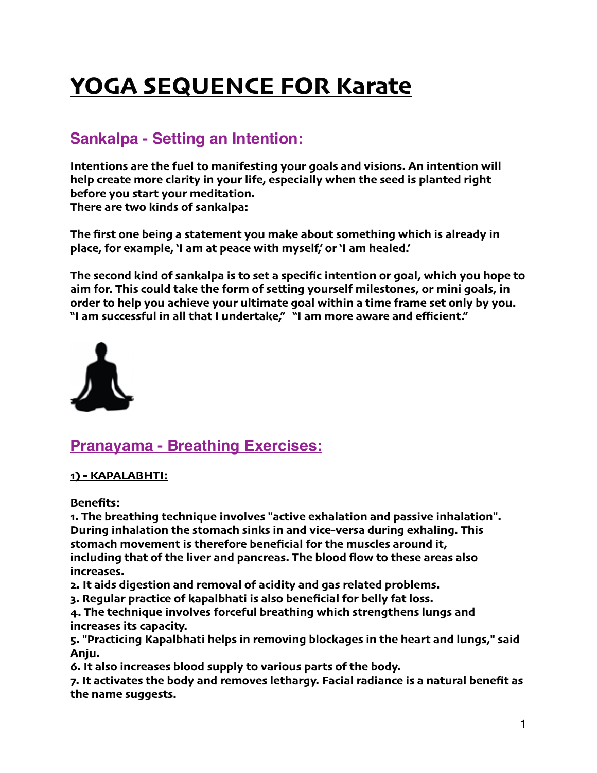# **YOGA SEQUENCE FOR Karate**

# **Sankalpa - Setting an Intention:**

**Intentions are the fuel to manifesting your goals and visions. An intention will help create more clarity in your life, especially when the seed is planted right before you start your meditation. There are two kinds of sankalpa:**

**The first one being a statement you make about something which is already in place, for example, 'I am at peace with myself,' or 'I am healed.'**

**The second kind of sankalpa is to set a specific intention or goal, which you hope to aim for. This could take the form of setting yourself milestones, or mini goals, in order to help you achieve your ultimate goal within a time frame set only by you. "I am successful in all that I undertake," "I am more aware and efficient."**



# **Pranayama - Breathing Exercises:**

# **1) - KAPALABHTI:**

**Benefits:**

**1. The breathing technique involves "active exhalation and passive inhalation". During inhalation the stomach sinks in and vice-versa during exhaling. This stomach movement is therefore beneficial for the muscles around it, including that of the liver and pancreas. The blood flow to these areas also increases.**

**2. It aids digestion and removal of acidity and gas related problems.**

**3. Regular practice of kapalbhati is also beneficial for belly fat loss.**

**4. The technique involves forceful breathing which strengthens lungs and increases its capacity.**

**5. "Practicing Kapalbhati helps in removing blockages in the heart and lungs," said Anju.**

**6. It also increases blood supply to various parts of the body.**

**7. It activates the body and removes lethargy. Facial radiance is a natural benefit as the name suggests.**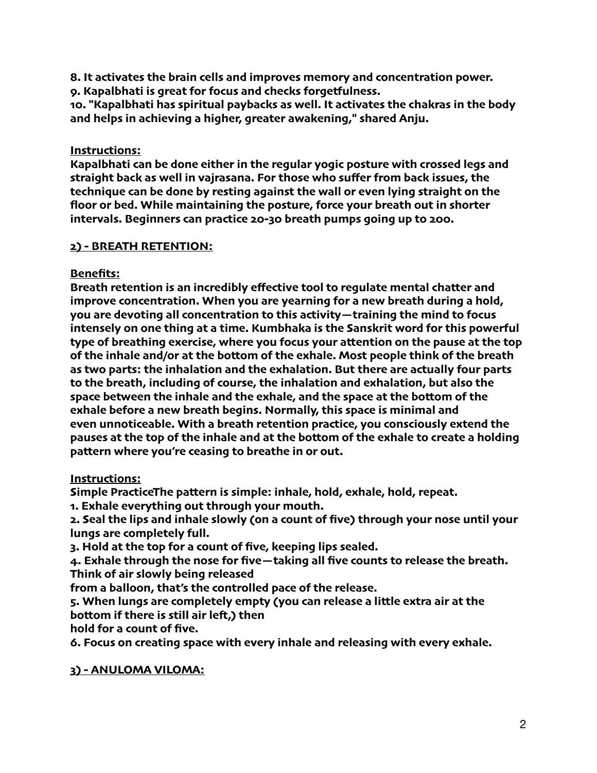**8. It activates the brain cells and improves memory and concentration power.**

**9. Kapalbhati is great for focus and checks forgetfulness.**

**10. "Kapalbhati has spiritual paybacks as well. It activates the chakras in the body and helps in achieving a higher, greater awakening," shared Anju.**

## **Instructions:**

**Kapalbhati can be done either in the regular yogic posture with crossed legs and straight back as well in vajrasana. For those who suffer from back issues, the technique can be done by resting against the wall or even lying straight on the floor or bed. While maintaining the posture, force your breath out in shorter intervals. Beginners can practice 20-30 breath pumps going up to 200.**

## **2) - BREATH RETENTION:**

# **Benefits:**

**Breath retention is an incredibly effective tool to regulate mental chatter and improve concentration. When you are yearning for a new breath during a hold, you are devoting all concentration to this activity—training the mind to focus intensely on one thing at a time. Kumbhaka is the Sanskrit word for this powerful type of breathing exercise, where you focus your attention on the pause at the top of the inhale and/or at the bottom of the exhale. Most people think of the breath as two parts: the inhalation and the exhalation. But there are actually four parts to the breath, including of course, the inhalation and exhalation, but also the space between the inhale and the exhale, and the space at the bottom of the exhale before a new breath begins. Normally, this space is minimal and even unnoticeable. With a breath retention practice, you consciously extend the pauses at the top of the inhale and at the bottom of the exhale to create a holding pattern where you're ceasing to breathe in or out.**

# **Instructions:**

**Simple PracticeThe pattern is simple: inhale, hold, exhale, hold, repeat.**

**1. Exhale everything out through your mouth.**

**2. Seal the lips and inhale slowly (on a count of five) through your nose until your lungs are completely full.**

**3. Hold at the top for a count of five, keeping lips sealed.**

**4. Exhale through the nose for five—taking all five counts to release the breath. Think of air slowly being released**

**from a balloon, that's the controlled pace of the release.**

**5. When lungs are completely empty (you can release a little extra air at the bottom if there is still air lef,) then**

**hold for a count of five.**

**6. Focus on creating space with every inhale and releasing with every exhale.**

# **3) - ANULOMA VILOMA:**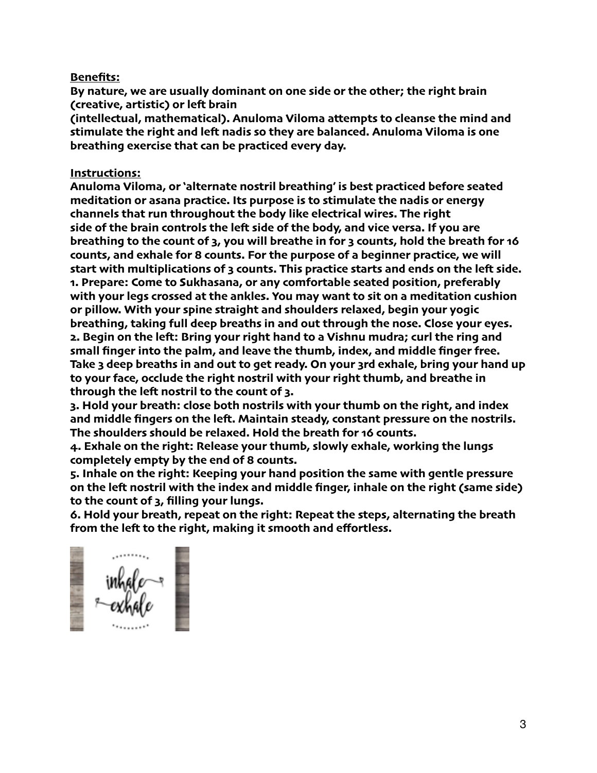#### **Benefits:**

**By nature, we are usually dominant on one side or the other; the right brain (creative, artistic) or lef brain**

**(intellectual, mathematical). Anuloma Viloma attempts to cleanse the mind and stimulate the right and lef nadis so they are balanced. Anuloma Viloma is one breathing exercise that can be practiced every day.**

#### **Instructions:**

**Anuloma Viloma, or 'alternate nostril breathing' is best practiced before seated meditation or asana practice. Its purpose is to stimulate the nadis or energy channels that run throughout the body like electrical wires. The right side of the brain controls the lef side of the body, and vice versa. If you are breathing to the count of 3, you will breathe in for 3 counts, hold the breath for 16 counts, and exhale for 8 counts. For the purpose of a beginner practice, we will start with multiplications of 3 counts. This practice starts and ends on the lef side. 1. Prepare: Come to Sukhasana, or any comfortable seated position, preferably with your legs crossed at the ankles. You may want to sit on a meditation cushion or pillow. With your spine straight and shoulders relaxed, begin your yogic breathing, taking full deep breaths in and out through the nose. Close your eyes. 2. Begin on the lef: Bring your right hand to a Vishnu mudra; curl the ring and small finger into the palm, and leave the thumb, index, and middle finger free. Take 3 deep breaths in and out to get ready. On your 3rd exhale, bring your hand up to your face, occlude the right nostril with your right thumb, and breathe in through the lef nostril to the count of 3.**

**3. Hold your breath: close both nostrils with your thumb on the right, and index and middle fingers on the lef. Maintain steady, constant pressure on the nostrils. The shoulders should be relaxed. Hold the breath for 16 counts.**

**4. Exhale on the right: Release your thumb, slowly exhale, working the lungs completely empty by the end of 8 counts.**

**5. Inhale on the right: Keeping your hand position the same with gentle pressure on the lef nostril with the index and middle finger, inhale on the right (same side) to the count of 3, filling your lungs.**

**6. Hold your breath, repeat on the right: Repeat the steps, alternating the breath from the lef to the right, making it smooth and effortless.**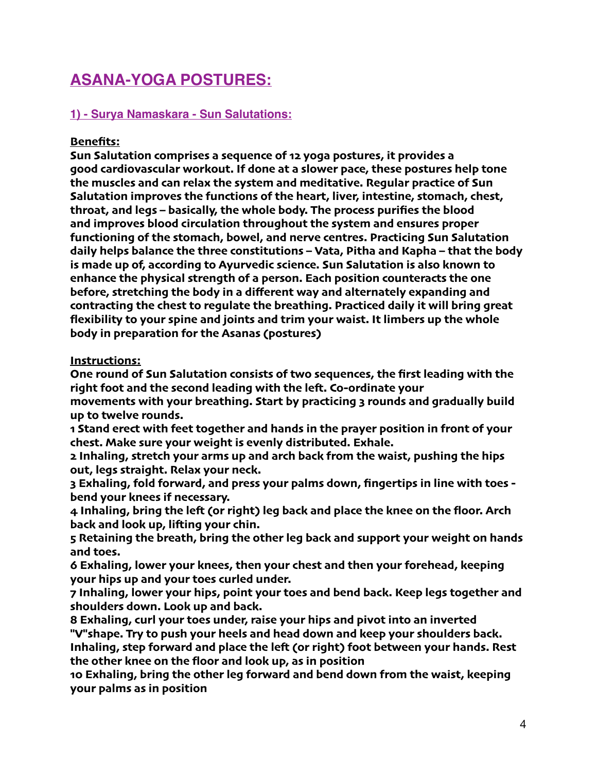# **ASANA-YOGA POSTURES:**

# **1) - Surya Namaskara - Sun Salutations:**

## **Benefits:**

**Sun Salutation comprises a sequence of 12 yoga postures, it provides a good cardiovascular workout. If done at a slower pace, these postures help tone the muscles and can relax the system and meditative. Regular practice of Sun Salutation improves the functions of the heart, liver, intestine, stomach, chest, throat, and legs – basically, the whole body. The process purifies the blood and improves blood circulation throughout the system and ensures proper functioning of the stomach, bowel, and nerve centres. Practicing Sun Salutation daily helps balance the three constitutions – Vata, Pitha and Kapha – that the body is made up of, according to Ayurvedic science. Sun Salutation is also known to enhance the physical strength of a person. Each position counteracts the one before, stretching the body in a different way and alternately expanding and contracting the chest to regulate the breathing. Practiced daily it will bring great flexibility to your spine and joints and trim your waist. It limbers up the whole body in preparation for the Asanas (postures)**

#### **Instructions:**

**One round of Sun Salutation consists of two sequences, the first leading with the right foot and the second leading with the lef. Co-ordinate your movements with your breathing. Start by practicing 3 rounds and gradually build up to twelve rounds.**

**1 Stand erect with feet together and hands in the prayer position in front of your chest. Make sure your weight is evenly distributed. Exhale.**

**2 Inhaling, stretch your arms up and arch back from the waist, pushing the hips out, legs straight. Relax your neck.**

**3 Exhaling, fold forward, and press your palms down, fingertips in line with toes bend your knees if necessary.**

**4 Inhaling, bring the lef (or right) leg back and place the knee on the floor. Arch back and look up, lifing your chin.**

**5 Retaining the breath, bring the other leg back and support your weight on hands and toes.**

**6 Exhaling, lower your knees, then your chest and then your forehead, keeping your hips up and your toes curled under.**

**7 Inhaling, lower your hips, point your toes and bend back. Keep legs together and shoulders down. Look up and back.**

**8 Exhaling, curl your toes under, raise your hips and pivot into an inverted "V"shape. Try to push your heels and head down and keep your shoulders back. Inhaling, step forward and place the lef (or right) foot between your hands. Rest the other knee on the floor and look up, as in position**

**10 Exhaling, bring the other leg forward and bend down from the waist, keeping your palms as in position**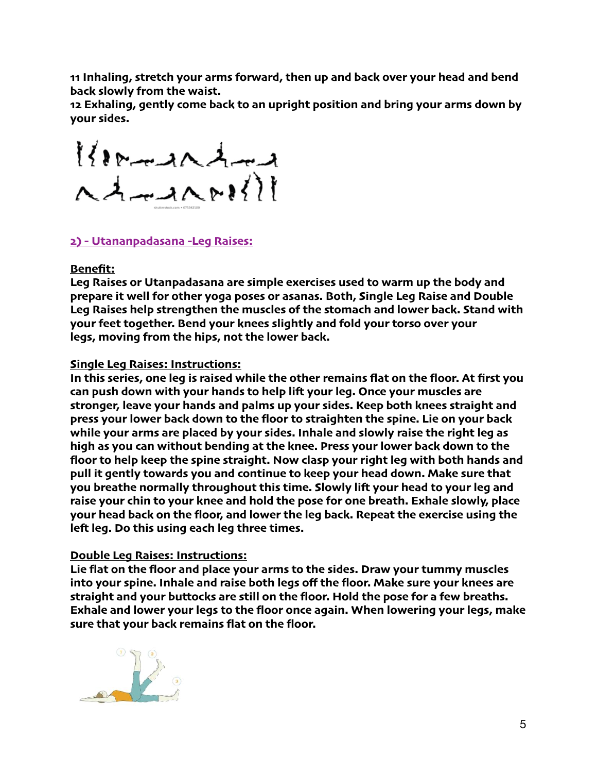**11 Inhaling, stretch your arms forward, then up and back over your head and bend back slowly from the waist.**

**12 Exhaling, gently come back to an upright position and bring your arms down by your sides.**

 $128 - 202$  $A = A \cdot B \cdot \frac{1}{1!}$ 

## **2) - Utananpadasana -Leg Raises:**

#### **Benefit:**

**Leg Raises or Utanpadasana are simple exercises used to warm up the body and prepare it well for other yoga poses or asanas. Both, Single Leg Raise and Double Leg Raises help strengthen the muscles of the stomach and lower back. Stand with your feet together. Bend your knees slightly and fold your torso over your legs, moving from the hips, not the lower back.**

#### **Single Leg Raises: Instructions:**

**In this series, one leg is raised while the other remains flat on the floor. At first you can push down with your hands to help lif your leg. Once your muscles are stronger, leave your hands and palms up your sides. Keep both knees straight and press your lower back down to the floor to straighten the spine. Lie on your back while your arms are placed by your sides. Inhale and slowly raise the right leg as high as you can without bending at the knee. Press your lower back down to the floor to help keep the spine straight. Now clasp your right leg with both hands and pull it gently towards you and continue to keep your head down. Make sure that you breathe normally throughout this time. Slowly lif your head to your leg and raise your chin to your knee and hold the pose for one breath. Exhale slowly, place your head back on the floor, and lower the leg back. Repeat the exercise using the lef leg. Do this using each leg three times.**

#### **Double Leg Raises: Instructions:**

**Lie flat on the floor and place your arms to the sides. Draw your tummy muscles into your spine. Inhale and raise both legs off the floor. Make sure your knees are straight and your buttocks are still on the floor. Hold the pose for a few breaths. Exhale and lower your legs to the floor once again. When lowering your legs, make sure that your back remains flat on the floor.**

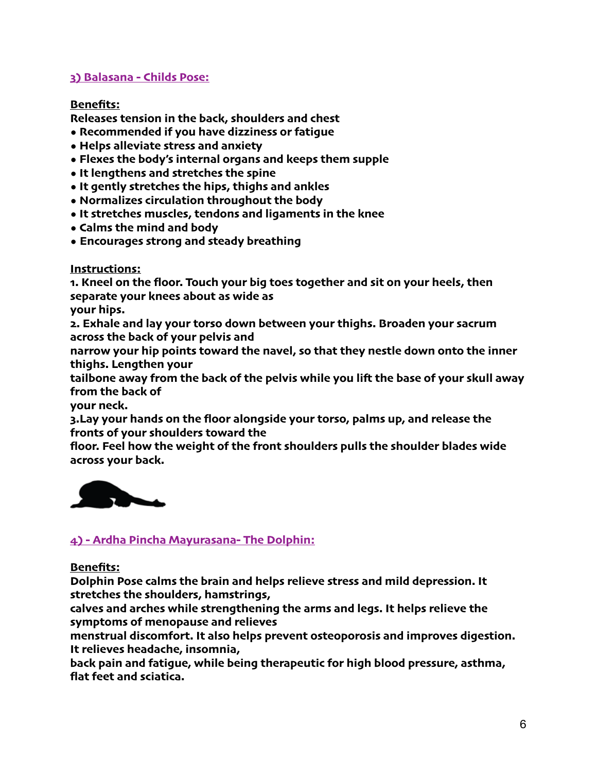# **3) Balasana - Childs Pose:**

#### **Benefits:**

**Releases tension in the back, shoulders and chest**

- **Recommended if you have dizziness or fatigue**
- **Helps alleviate stress and anxiety**
- **Flexes the body's internal organs and keeps them supple**
- **It lengthens and stretches the spine**
- **It gently stretches the hips, thighs and ankles**
- **Normalizes circulation throughout the body**
- **It stretches muscles, tendons and ligaments in the knee**
- **Calms the mind and body**
- **• Encourages strong and steady breathing**

## **Instructions:**

**1. Kneel on the floor. Touch your big toes together and sit on your heels, then separate your knees about as wide as**

**your hips.**

**2. Exhale and lay your torso down between your thighs. Broaden your sacrum across the back of your pelvis and**

**narrow your hip points toward the navel, so that they nestle down onto the inner thighs. Lengthen your**

**tailbone away from the back of the pelvis while you lif the base of your skull away from the back of**

**your neck.**

**3.Lay your hands on the floor alongside your torso, palms up, and release the fronts of your shoulders toward the**

**floor. Feel how the weight of the front shoulders pulls the shoulder blades wide across your back.**



# **4) - Ardha Pincha Mayurasana- The Dolphin:**

#### **Benefits:**

**Dolphin Pose calms the brain and helps relieve stress and mild depression. It stretches the shoulders, hamstrings,**

**calves and arches while strengthening the arms and legs. It helps relieve the symptoms of menopause and relieves**

**menstrual discomfort. It also helps prevent osteoporosis and improves digestion. It relieves headache, insomnia,**

**back pain and fatigue, while being therapeutic for high blood pressure, asthma, flat feet and sciatica.**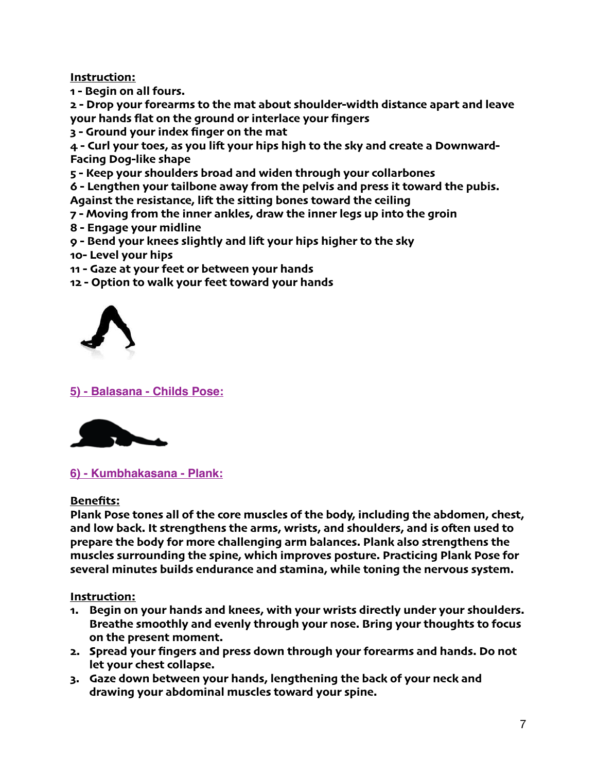#### **Instruction:**

**1 - Begin on all fours.**

**2 - Drop your forearms to the mat about shoulder-width distance apart and leave your hands flat on the ground or interlace your fingers**

**3 - Ground your index finger on the mat**

**4 - Curl your toes, as you lif your hips high to the sky and create a Downward-Facing Dog-like shape**

**5 - Keep your shoulders broad and widen through your collarbones**

**6 - Lengthen your tailbone away from the pelvis and press it toward the pubis. Against the resistance, lif the sitting bones toward the ceiling**

- **7 - Moving from the inner ankles, draw the inner legs up into the groin**
- **8 - Engage your midline**

**9 - Bend your knees slightly and lif your hips higher to the sky**

**10- Level your hips**

- **11 - Gaze at your feet or between your hands**
- **12 - Option to walk your feet toward your hands**



**5) - Balasana - Childs Pose:**



**6) - Kumbhakasana - Plank:**

#### **Benefits:**

**Plank Pose tones all of the core muscles of the body, including the abdomen, chest, and low back. It strengthens the arms, wrists, and shoulders, and is ofen used to prepare the body for more challenging arm balances. Plank also strengthens the muscles surrounding the spine, which improves posture. Practicing Plank Pose for several minutes builds endurance and stamina, while toning the nervous system.**

**Instruction:**

- **1. Begin on your hands and knees, with your wrists directly under your shoulders. Breathe smoothly and evenly through your nose. Bring your thoughts to focus on the present moment.**
- **2. Spread your fingers and press down through your forearms and hands. Do not let your chest collapse.**
- **3. Gaze down between your hands, lengthening the back of your neck and drawing your abdominal muscles toward your spine.**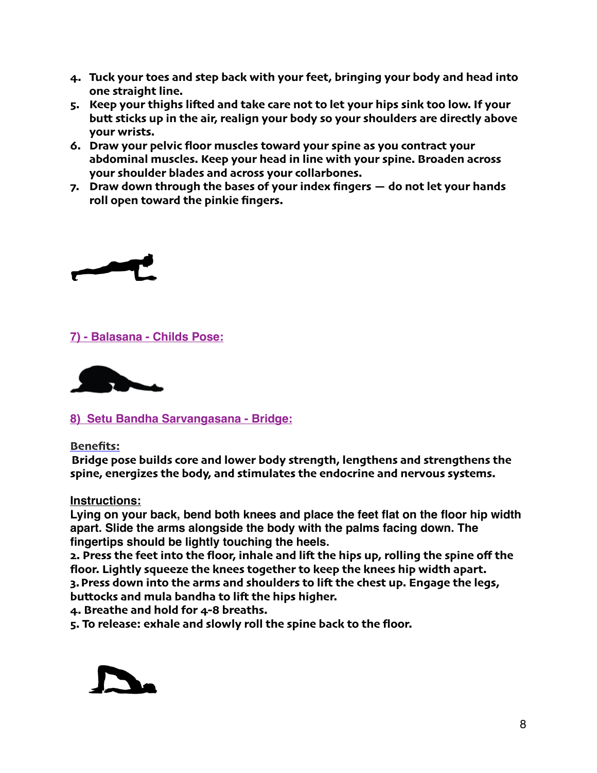- **4. Tuck your toes and step back with your feet, bringing your body and head into one straight line.**
- **5. Keep your thighs lifed and take care not to let your hips sink too low. If your butt sticks up in the air, realign your body so your shoulders are directly above your wrists.**
- **6. Draw your pelvic floor muscles toward your spine as you contract your abdominal muscles. Keep your head in line with your spine. Broaden across your shoulder blades and across your collarbones.**
- **7. Draw down through the bases of your index fingers do not let your hands roll open toward the pinkie fingers.**



# **7) - Balasana - Childs Pose:**



**8) Setu Bandha Sarvangasana - Bridge:**

**Benefits:**

**Bridge pose builds core and lower body strength, lengthens and strengthens the spine, energizes the body, and stimulates the endocrine and nervous systems.**

**Instructions:** 

**Lying on your back, bend both knees and place the feet flat on the floor hip width apart. Slide the arms alongside the body with the palms facing down. The fingertips should be lightly touching the heels.**

**2. Press the feet into the floor, inhale and lif the hips up, rolling the spine off the floor. Lightly squeeze the knees together to keep the knees hip width apart.**

**3. Press down into the arms and shoulders to lif the chest up. Engage the legs, buttocks and mula bandha to lif the hips higher.**

**4. Breathe and hold for 4-8 breaths.**

**5. To release: exhale and slowly roll the spine back to the floor.**

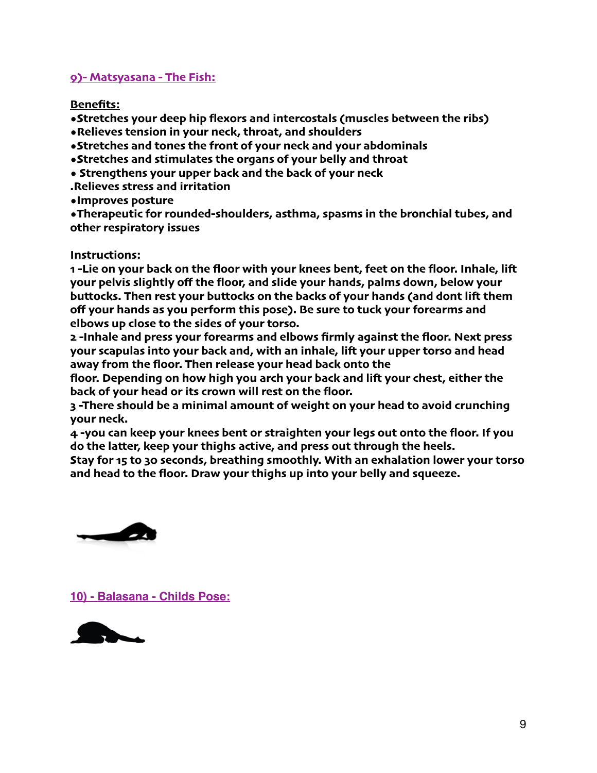#### **9)- Matsyasana - The Fish:**

**Benefits:**

**•Stretches your deep hip flexors and intercostals (muscles between the ribs)**

**•Relieves tension in your neck, throat, and shoulders**

**•Stretches and tones the front of your neck and your abdominals**

- **•Stretches and stimulates the organs of your belly and throat**
- **Strengthens your upper back and the back of your neck**
- **.Relieves stress and irritation**
- **•Improves posture**

**•Therapeutic for rounded-shoulders, asthma, spasms in the bronchial tubes, and other respiratory issues**

## **Instructions:**

**1 -Lie on your back on the floor with your knees bent, feet on the floor. Inhale, lif your pelvis slightly off the floor, and slide your hands, palms down, below your buttocks. Then rest your buttocks on the backs of your hands (and dont lif them off your hands as you perform this pose). Be sure to tuck your forearms and elbows up close to the sides of your torso.**

**2 -Inhale and press your forearms and elbows firmly against the floor. Next press your scapulas into your back and, with an inhale, lif your upper torso and head away from the floor. Then release your head back onto the**

**floor. Depending on how high you arch your back and lif your chest, either the back of your head or its crown will rest on the floor.**

**3 -There should be a minimal amount of weight on your head to avoid crunching your neck.**

**4 -you can keep your knees bent or straighten your legs out onto the floor. If you do the latter, keep your thighs active, and press out through the heels.**

**Stay for 15 to 30 seconds, breathing smoothly. With an exhalation lower your torso and head to the floor. Draw your thighs up into your belly and squeeze.**



**10) - Balasana - Childs Pose:**

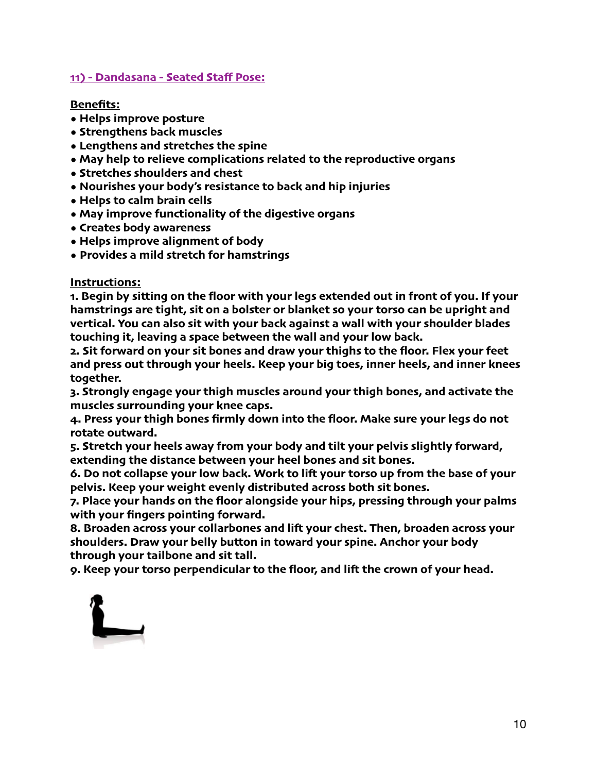#### **11) - Dandasana - Seated Staff Pose:**

#### **Benefits:**

- **Helps improve posture**
- **Strengthens back muscles**
- **Lengthens and stretches the spine**
- **May help to relieve complications related to the reproductive organs**
- **Stretches shoulders and chest**
- **Nourishes your body's resistance to back and hip injuries**
- **Helps to calm brain cells**
- **May improve functionality of the digestive organs**
- **Creates body awareness**
- **Helps improve alignment of body**
- **• Provides a mild stretch for hamstrings**

#### **Instructions:**

**1. Begin by sitting on the floor with your legs extended out in front of you. If your hamstrings are tight, sit on a bolster or blanket so your torso can be upright and vertical. You can also sit with your back against a wall with your shoulder blades touching it, leaving a space between the wall and your low back.**

**2. Sit forward on your sit bones and draw your thighs to the floor. Flex your feet and press out through your heels. Keep your big toes, inner heels, and inner knees together.**

**3. Strongly engage your thigh muscles around your thigh bones, and activate the muscles surrounding your knee caps.**

**4. Press your thigh bones firmly down into the floor. Make sure your legs do not rotate outward.**

**5. Stretch your heels away from your body and tilt your pelvis slightly forward, extending the distance between your heel bones and sit bones.**

**6. Do not collapse your low back. Work to lif your torso up from the base of your pelvis. Keep your weight evenly distributed across both sit bones.**

**7. Place your hands on the floor alongside your hips, pressing through your palms with your fingers pointing forward.**

**8. Broaden across your collarbones and lif your chest. Then, broaden across your shoulders. Draw your belly button in toward your spine. Anchor your body through your tailbone and sit tall.**

**9. Keep your torso perpendicular to the floor, and lif the crown of your head.**

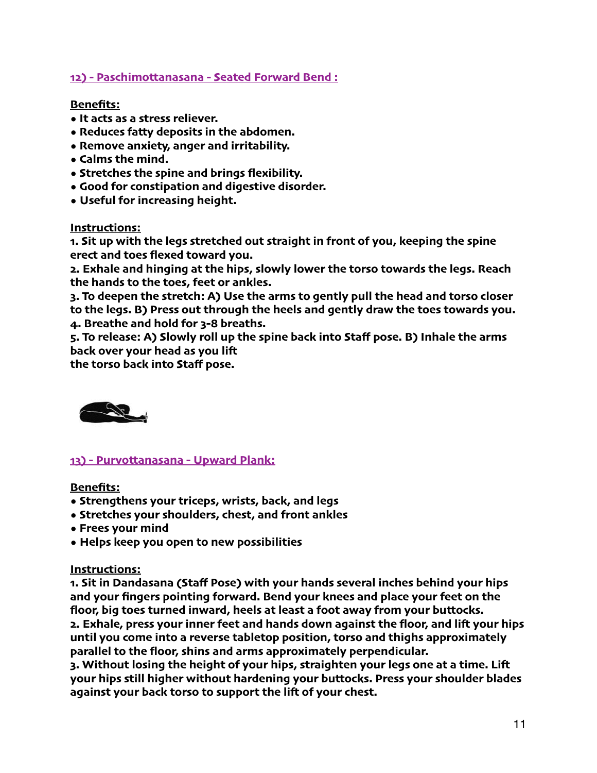## **12) - Paschimottanasana - Seated Forward Bend :**

#### **Benefits:**

- **It acts as a stress reliever.**
- **Reduces fatty deposits in the abdomen.**
- **Remove anxiety, anger and irritability.**
- **Calms the mind.**
- **Stretches the spine and brings flexibility.**
- **Good for constipation and digestive disorder.**
- **• Useful for increasing height.**

**Instructions:**

**1. Sit up with the legs stretched out straight in front of you, keeping the spine erect and toes flexed toward you.**

**2. Exhale and hinging at the hips, slowly lower the torso towards the legs. Reach the hands to the toes, feet or ankles.**

**3. To deepen the stretch: A) Use the arms to gently pull the head and torso closer to the legs. B) Press out through the heels and gently draw the toes towards you. 4. Breathe and hold for 3-8 breaths.**

**5. To release: A) Slowly roll up the spine back into Staff pose. B) Inhale the arms back over your head as you lif**

**the torso back into Staff pose.**



**13) - Purvottanasana - Upward Plank:**

**Benefits:**

- **Strengthens your triceps, wrists, back, and legs**
- **Stretches your shoulders, chest, and front ankles**
- **Frees your mind**
- **• Helps keep you open to new possibilities**

#### **Instructions:**

**1. Sit in Dandasana (Staff Pose) with your hands several inches behind your hips and your fingers pointing forward. Bend your knees and place your feet on the floor, big toes turned inward, heels at least a foot away from your buttocks. 2. Exhale, press your inner feet and hands down against the floor, and lif your hips until you come into a reverse tabletop position, torso and thighs approximately parallel to the floor, shins and arms approximately perpendicular.**

**3. Without losing the height of your hips, straighten your legs one at a time. Lif your hips still higher without hardening your buttocks. Press your shoulder blades against your back torso to support the lif of your chest.**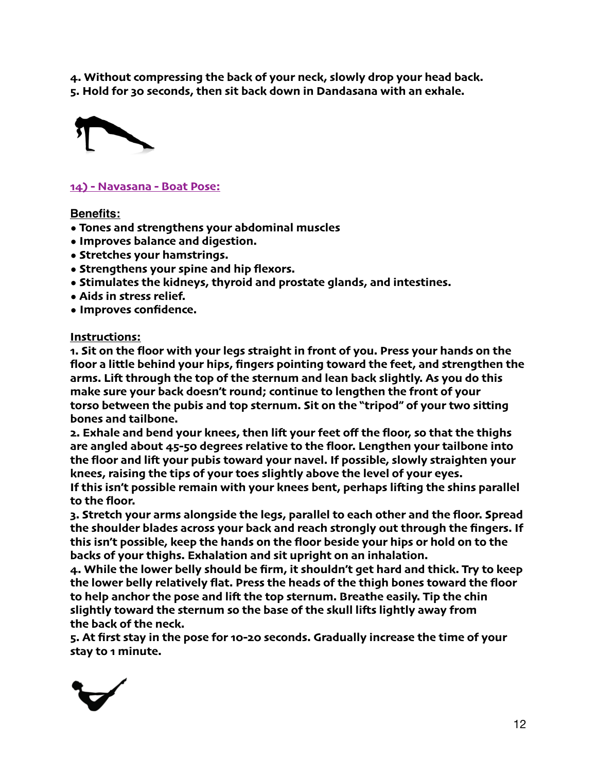**4. Without compressing the back of your neck, slowly drop your head back. 5. Hold for 30 seconds, then sit back down in Dandasana with an exhale.**



#### **14) - Navasana - Boat Pose:**

#### **Benefits:**

- **Tones and strengthens your abdominal muscles**
- **Improves balance and digestion.**
- **Stretches your hamstrings.**
- **Strengthens your spine and hip flexors.**
- **Stimulates the kidneys, thyroid and prostate glands, and intestines.**
- **Aids in stress relief.**
- **• Improves confidence.**

#### **Instructions:**

**1. Sit on the floor with your legs straight in front of you. Press your hands on the floor a little behind your hips, fingers pointing toward the feet, and strengthen the arms. Lif through the top of the sternum and lean back slightly. As you do this make sure your back doesn't round; continue to lengthen the front of your torso between the pubis and top sternum. Sit on the "tripod" of your two sitting bones and tailbone.**

**2. Exhale and bend your knees, then lif your feet off the floor, so that the thighs are angled about 45-50 degrees relative to the floor. Lengthen your tailbone into the floor and lif your pubis toward your navel. If possible, slowly straighten your knees, raising the tips of your toes slightly above the level of your eyes.**

**If this isn't possible remain with your knees bent, perhaps lifing the shins parallel to the floor.**

**3. Stretch your arms alongside the legs, parallel to each other and the floor. Spread the shoulder blades across your back and reach strongly out through the fingers. If this isn't possible, keep the hands on the floor beside your hips or hold on to the backs of your thighs. Exhalation and sit upright on an inhalation.**

**4. While the lower belly should be firm, it shouldn't get hard and thick. Try to keep the lower belly relatively flat. Press the heads of the thigh bones toward the floor to help anchor the pose and lif the top sternum. Breathe easily. Tip the chin slightly toward the sternum so the base of the skull lifs lightly away from the back of the neck.**

**5. At first stay in the pose for 10-20 seconds. Gradually increase the time of your stay to 1 minute.**

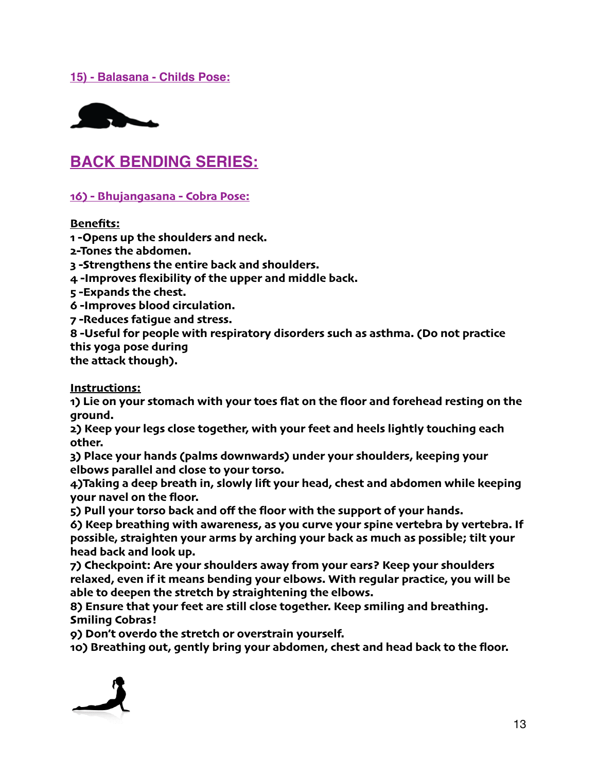#### **15) - Balasana - Childs Pose:**



# **BACK BENDING SERIES:**

**16) - Bhujangasana - Cobra Pose:**

**Benefits:**

**1 -Opens up the shoulders and neck.**

**2-Tones the abdomen.**

**3 -Strengthens the entire back and shoulders.**

**4 -Improves flexibility of the upper and middle back.**

**5 -Expands the chest.**

**6 -Improves blood circulation.**

**7 -Reduces fatigue and stress.**

**8 -Useful for people with respiratory disorders such as asthma. (Do not practice this yoga pose during**

**the attack though).**

**Instructions:**

**1) Lie on your stomach with your toes flat on the floor and forehead resting on the ground.**

**2) Keep your legs close together, with your feet and heels lightly touching each other.**

**3) Place your hands (palms downwards) under your shoulders, keeping your elbows parallel and close to your torso.**

**4)Taking a deep breath in, slowly lif your head, chest and abdomen while keeping your navel on the floor.**

**5) Pull your torso back and off the floor with the support of your hands.**

**6) Keep breathing with awareness, as you curve your spine vertebra by vertebra. If possible, straighten your arms by arching your back as much as possible; tilt your head back and look up.**

**7) Checkpoint: Are your shoulders away from your ears? Keep your shoulders relaxed, even if it means bending your elbows. With regular practice, you will be able to deepen the stretch by straightening the elbows.**

**8) Ensure that your feet are still close together. Keep smiling and breathing. Smiling Cobras!**

**9) Don't overdo the stretch or overstrain yourself.**

**10) Breathing out, gently bring your abdomen, chest and head back to the floor.**

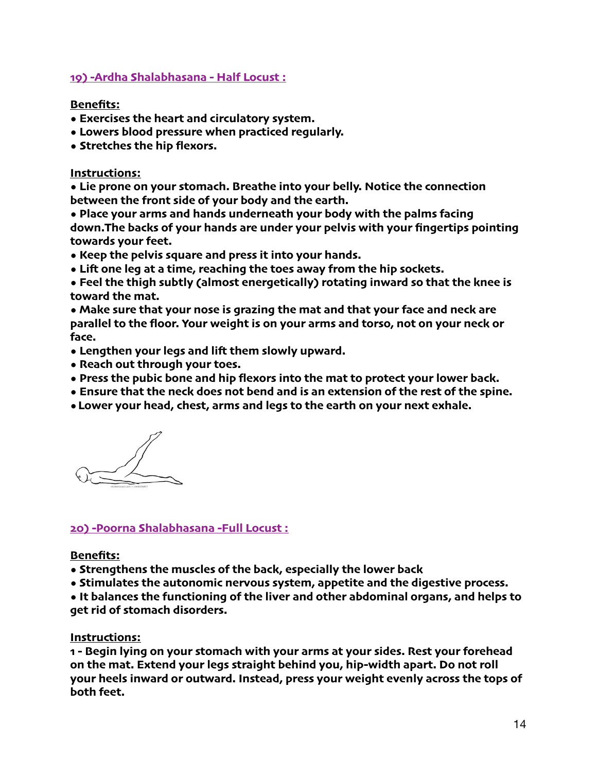#### **19) -Ardha Shalabhasana - Half Locust :**

#### **Benefits:**

- **Exercises the heart and circulatory system.**
- **Lowers blood pressure when practiced regularly.**
- **• Stretches the hip flexors.**

#### **Instructions:**

**• Lie prone on your stomach. Breathe into your belly. Notice the connection between the front side of your body and the earth.**

**• Place your arms and hands underneath your body with the palms facing down.The backs of your hands are under your pelvis with your fingertips pointing towards your feet.**

- **Keep the pelvis square and press it into your hands.**
- **Lif one leg at a time, reaching the toes away from the hip sockets.**
- **Feel the thigh subtly (almost energetically) rotating inward so that the knee is toward the mat.**

**• Make sure that your nose is grazing the mat and that your face and neck are parallel to the floor. Your weight is on your arms and torso, not on your neck or face.**

- **Lengthen your legs and lif them slowly upward.**
- **Reach out through your toes.**
- **Press the pubic bone and hip flexors into the mat to protect your lower back.**
- **Ensure that the neck does not bend and is an extension of the rest of the spine.**
- **•Lower your head, chest, arms and legs to the earth on your next exhale.**

# **20) -Poorna Shalabhasana -Full Locust :**

#### **Benefits:**

- **Strengthens the muscles of the back, especially the lower back**
- **Stimulates the autonomic nervous system, appetite and the digestive process.**

**• It balances the functioning of the liver and other abdominal organs, and helps to get rid of stomach disorders.**

#### **Instructions:**

**1 - Begin lying on your stomach with your arms at your sides. Rest your forehead on the mat. Extend your legs straight behind you, hip-width apart. Do not roll your heels inward or outward. Instead, press your weight evenly across the tops of both feet.**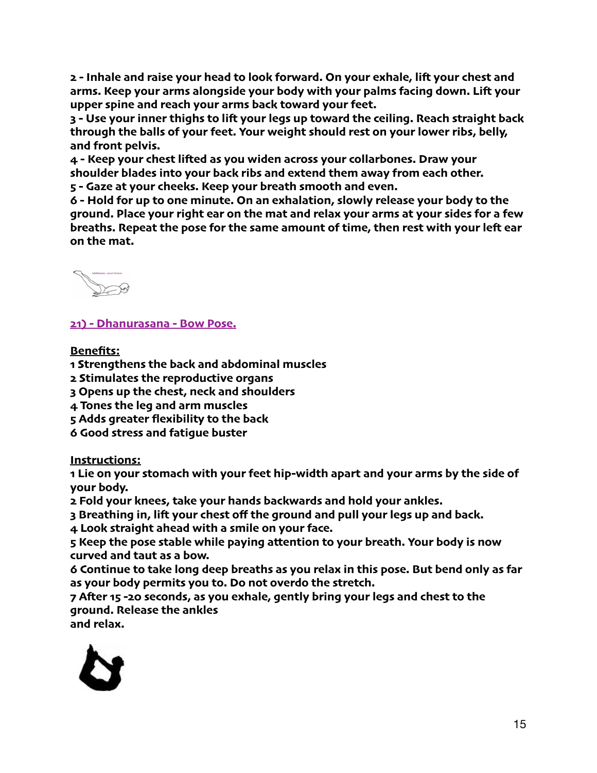**2 - Inhale and raise your head to look forward. On your exhale, lif your chest and arms. Keep your arms alongside your body with your palms facing down. Lif your upper spine and reach your arms back toward your feet.**

**3 - Use your inner thighs to lif your legs up toward the ceiling. Reach straight back through the balls of your feet. Your weight should rest on your lower ribs, belly, and front pelvis.**

**4 - Keep your chest lifed as you widen across your collarbones. Draw your shoulder blades into your back ribs and extend them away from each other. 5 - Gaze at your cheeks. Keep your breath smooth and even.**

**6 - Hold for up to one minute. On an exhalation, slowly release your body to the ground. Place your right ear on the mat and relax your arms at your sides for a few breaths. Repeat the pose for the same amount of time, then rest with your lef ear on the mat.**



**21) - Dhanurasana - Bow Pose.**

# **Benefits:**

**1 Strengthens the back and abdominal muscles**

**2 Stimulates the reproductive organs**

- **3 Opens up the chest, neck and shoulders**
- **4 Tones the leg and arm muscles**
- **5 Adds greater flexibility to the back**
- **6 Good stress and fatigue buster**

**Instructions:**

**1 Lie on your stomach with your feet hip-width apart and your arms by the side of your body.**

**2 Fold your knees, take your hands backwards and hold your ankles.**

**3 Breathing in, lif your chest off the ground and pull your legs up and back.**

**4 Look straight ahead with a smile on your face.**

**5 Keep the pose stable while paying attention to your breath. Your body is now curved and taut as a bow.**

**6 Continue to take long deep breaths as you relax in this pose. But bend only as far as your body permits you to. Do not overdo the stretch.**

**7 Afer 15 -20 seconds, as you exhale, gently bring your legs and chest to the ground. Release the ankles**

**and relax.**

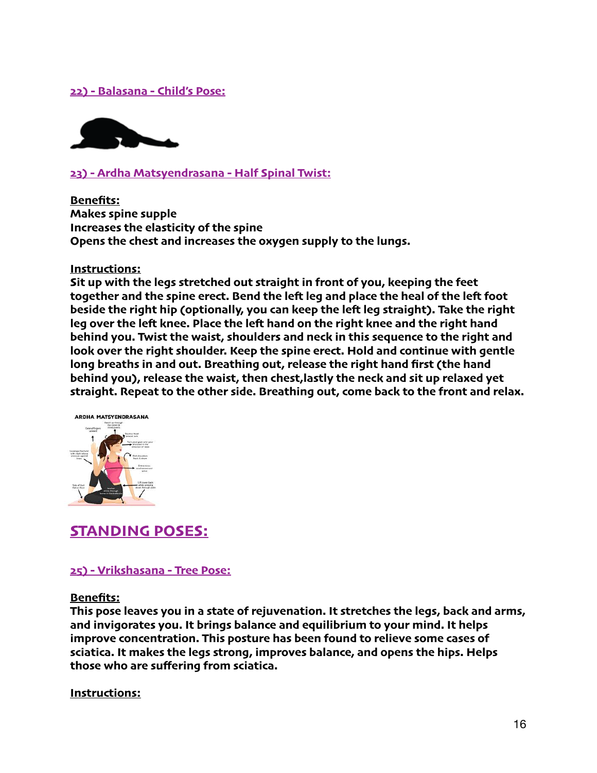#### **22) - Balasana - Child's Pose:**



#### **23) - Ardha Matsyendrasana - Half Spinal Twist:**

**Benefits: Makes spine supple Increases the elasticity of the spine Opens the chest and increases the oxygen supply to the lungs.**

#### **Instructions:**

**Sit up with the legs stretched out straight in front of you, keeping the feet together and the spine erect. Bend the lef leg and place the heal of the lef foot beside the right hip (optionally, you can keep the lef leg straight). Take the right leg over the lef knee. Place the lef hand on the right knee and the right hand behind you. Twist the waist, shoulders and neck in this sequence to the right and look over the right shoulder. Keep the spine erect. Hold and continue with gentle long breaths in and out. Breathing out, release the right hand first (the hand behind you), release the waist, then chest,lastly the neck and sit up relaxed yet straight. Repeat to the other side. Breathing out, come back to the front and relax.**



# **STANDING POSES:**

#### **25) - Vrikshasana - Tree Pose:**

#### **Benefits:**

**This pose leaves you in a state of rejuvenation. It stretches the legs, back and arms, and invigorates you. It brings balance and equilibrium to your mind. It helps improve concentration. This posture has been found to relieve some cases of sciatica. It makes the legs strong, improves balance, and opens the hips. Helps those who are suffering from sciatica.**

#### **Instructions:**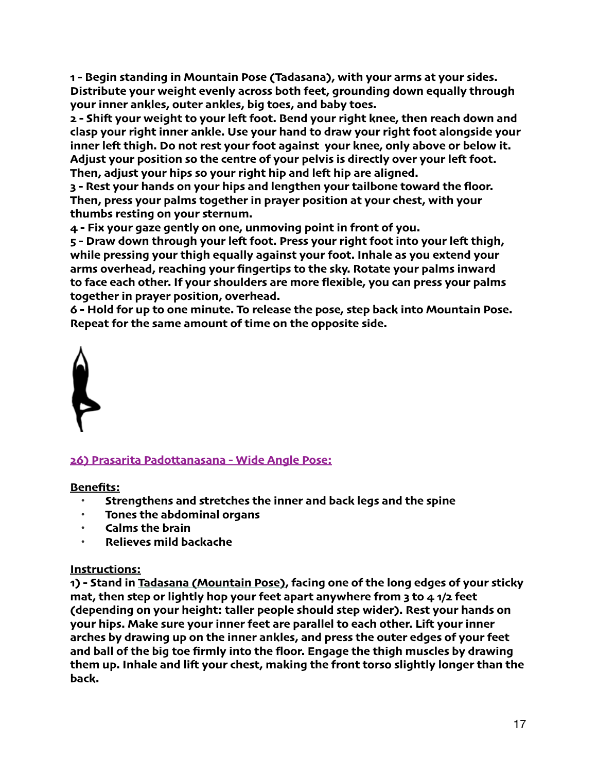**1 - Begin standing in Mountain Pose (Tadasana), with your arms at your sides. Distribute your weight evenly across both feet, grounding down equally through your inner ankles, outer ankles, big toes, and baby toes.**

**2 - Shif your weight to your lef foot. Bend your right knee, then reach down and clasp your right inner ankle. Use your hand to draw your right foot alongside your inner lef thigh. Do not rest your foot against your knee, only above or below it. Adjust your position so the centre of your pelvis is directly over your lef foot. Then, adjust your hips so your right hip and lef hip are aligned.**

**3 - Rest your hands on your hips and lengthen your tailbone toward the floor. Then, press your palms together in prayer position at your chest, with your thumbs resting on your sternum.**

**4 - Fix your gaze gently on one, unmoving point in front of you.**

**5 - Draw down through your lef foot. Press your right foot into your lef thigh, while pressing your thigh equally against your foot. Inhale as you extend your arms overhead, reaching your fingertips to the sky. Rotate your palms inward to face each other. If your shoulders are more flexible, you can press your palms together in prayer position, overhead.**

**6 - Hold for up to one minute. To release the pose, step back into Mountain Pose. Repeat for the same amount of time on the opposite side.**



# **26) Prasarita Padottanasana - Wide Angle Pose:**

**Benefits:**

- **Strengthens and stretches the inner and back legs and the spine**
- **Tones the abdominal organs**
- **Calms the brain**
- **Relieves mild backache**

# **Instructions:**

**1) - Stand in [Tadasana \(Mountain Pose\)](https://www.yogajournal.com/poses/492), facing one of the long edges of your sticky mat, then step or lightly hop your feet apart anywhere from 3 to 4 1/2 feet (depending on your height: taller people should step wider). Rest your hands on your hips. Make sure your inner feet are parallel to each other. Lif your inner arches by drawing up on the inner ankles, and press the outer edges of your feet and ball of the big toe firmly into the floor. Engage the thigh muscles by drawing them up. Inhale and lif your chest, making the front torso slightly longer than the back.**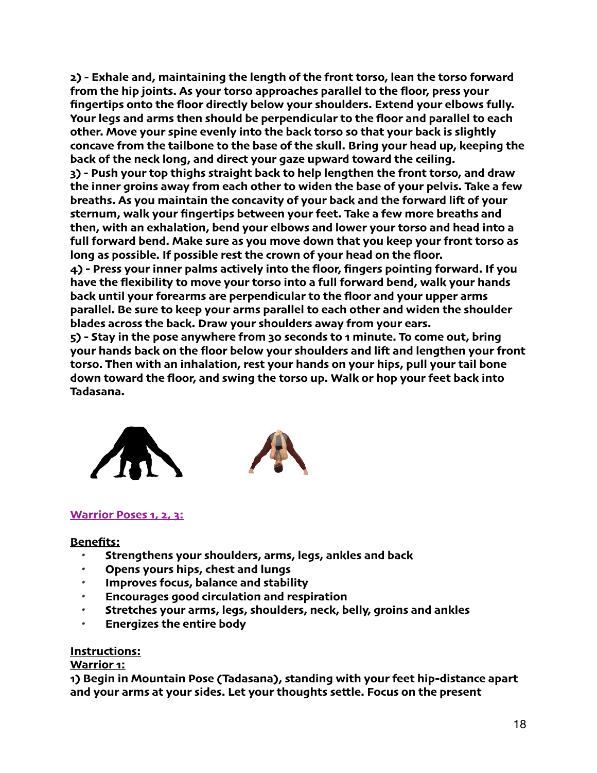**2) - Exhale and, maintaining the length of the front torso, lean the torso forward from the hip joints. As your torso approaches parallel to the floor, press your fingertips onto the floor directly below your shoulders. Extend your elbows fully. Your legs and arms then should be perpendicular to the floor and parallel to each other. Move your spine evenly into the back torso so that your back is slightly concave from the tailbone to the base of the skull. Bring your head up, keeping the back of the neck long, and direct your gaze upward toward the ceiling. 3) - Push your top thighs straight back to help lengthen the front torso, and draw the inner groins away from each other to widen the base of your pelvis. Take a few breaths. As you maintain the concavity of your back and the forward lif of your sternum, walk your fingertips between your feet. Take a few more breaths and then, with an exhalation, bend your elbows and lower your torso and head into a full forward bend. Make sure as you move down that you keep your front torso as long as possible. If possible rest the crown of your head on the floor. 4) - Press your inner palms actively into the floor, fingers pointing forward. If you have the flexibility to move your torso into a full forward bend, walk your hands back until your forearms are perpendicular to the floor and your upper arms parallel. Be sure to keep your arms parallel to each other and widen the shoulder blades across the back. Draw your shoulders away from your ears.**

**5) - Stay in the pose anywhere from 30 seconds to 1 minute. To come out, bring your hands back on the floor below your shoulders and lif and lengthen your front torso. Then with an inhalation, rest your hands on your hips, pull your tail bone down toward the floor, and swing the torso up. Walk or hop your feet back into Tadasana.**



#### **Warrior Poses 1, 2, 3:**

#### **Benefits:**

- *•* **Strengthens your shoulders, arms, legs, ankles and back**
- *•* **Opens yours hips, chest and lungs**
- *•* **Improves focus, balance and stability**
- *•* **Encourages good circulation and respiration**
- *•* **Stretches your arms, legs, shoulders, neck, belly, groins and ankles**
- *•* **Energizes the entire body**

#### **Instructions:**

#### **Warrior 1:**

**1) Begin in [Mountain Pose \(Tadasana\)](https://www.yogaoutlet.com/blogs/guides/how-to-do-mountain-pose-in-yoga/), standing with your feet hip-distance apart and your arms at your sides. Let your thoughts settle. Focus on the present**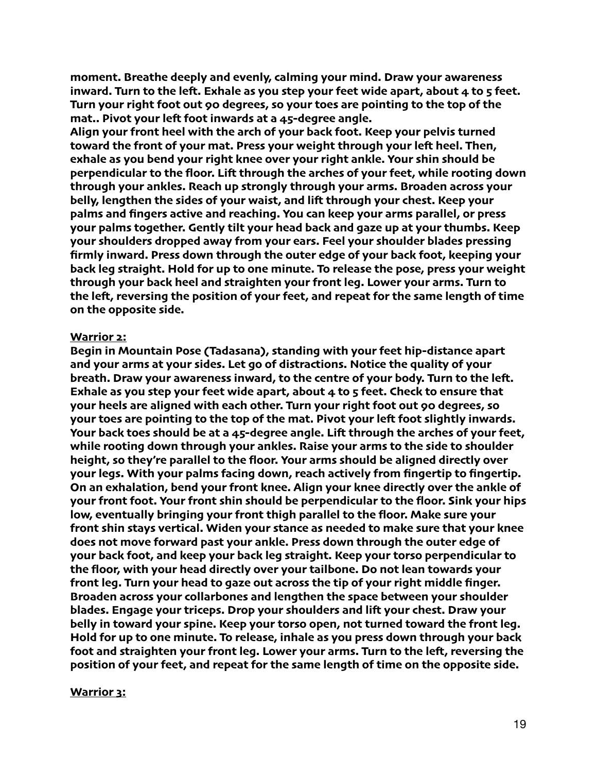**moment. Breathe deeply and evenly, calming your mind. Draw your awareness inward. Turn to the lef. Exhale as you step your feet wide apart, about 4 to 5 feet. Turn your right foot out 90 degrees, so your toes are pointing to the top of the [mat](https://www.yogaoutlet.com/collections/yoga-mats-9194).. Pivot your lef foot inwards at a 45-degree angle.**

**Align your front heel with the arch of your back foot. Keep your pelvis turned toward the front of your mat. Press your weight through your lef heel. Then, exhale as you bend your right knee over your right ankle. Your shin should be perpendicular to the floor. Lif through the arches of your feet, while rooting down through your ankles. Reach up strongly through your arms. Broaden across your belly, lengthen the sides of your waist, and lif through your chest. Keep your palms and fingers active and reaching. You can keep your arms parallel, or press your palms together. Gently tilt your head back and gaze up at your thumbs. Keep your shoulders dropped away from your ears. Feel your shoulder blades pressing firmly inward. Press down through the outer edge of your back foot, keeping your back leg straight. Hold for up to one minute. To release the pose, press your weight through your back heel and straighten your front leg. Lower your arms. Turn to the lef, reversing the position of your feet, and repeat for the same length of time on the opposite side.**

#### **Warrior 2:**

**Begin in [Mountain Pose \(Tadasana\)](https://www.yogaoutlet.com/blogs/guides/how-to-do-mountain-pose-in-yoga/), standing with your feet hip-distance apart and your arms at your sides. Let go of distractions. Notice the quality of your breath. Draw your awareness inward, to the centre of your body. Turn to the lef. Exhale as you step your feet wide apart, about 4 to 5 feet. Check to ensure that your heels are aligned with each other. Turn your right foot out 90 degrees, so your toes are pointing to the top of the [mat](https://www.yogaoutlet.com/collections/yoga-mats-9194). Pivot your lef foot slightly inwards. Your back toes should be at a 45-degree angle. Lif through the arches of your feet, while rooting down through your ankles. Raise your arms to the side to shoulder height, so they're parallel to the floor. Your arms should be aligned directly over your legs. With your palms facing down, reach actively from fingertip to fingertip. On an exhalation, bend your front knee. Align your knee directly over the ankle of your front foot. Your front shin should be perpendicular to the floor. Sink your hips low, eventually bringing your front thigh parallel to the floor. Make sure your front shin stays vertical. Widen your stance as needed to make sure that your knee does not move forward past your ankle. Press down through the outer edge of your back foot, and keep your back leg straight. Keep your torso perpendicular to the floor, with your head directly over your tailbone. Do not lean towards your front leg. Turn your head to gaze out across the tip of your right middle finger. Broaden across your collarbones and lengthen the space between your shoulder blades. Engage your triceps. Drop your shoulders and lif your chest. Draw your belly in toward your spine. Keep your torso open, not turned toward the front leg. Hold for up to one minute. To release, inhale as you press down through your back foot and straighten your front leg. Lower your arms. Turn to the lef, reversing the position of your feet, and repeat for the same length of time on the opposite side.**

#### **Warrior 3:**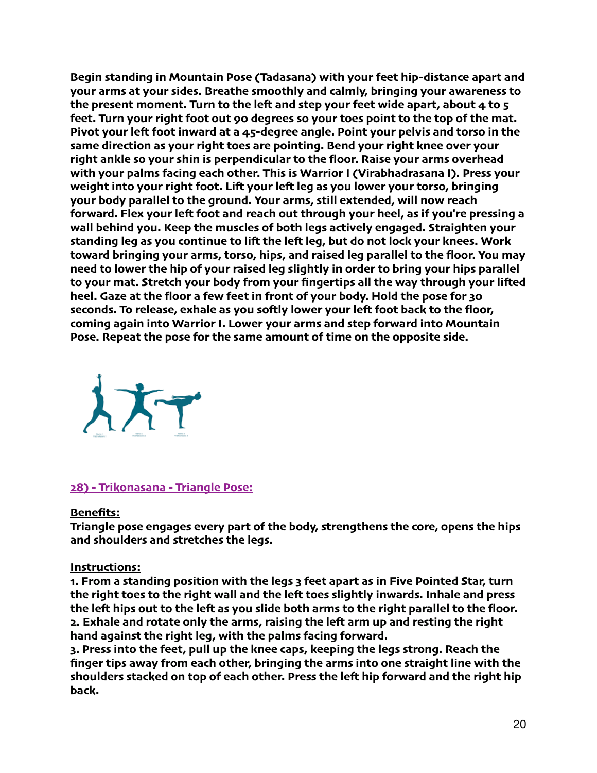**Begin standing in [Mountain Pose \(Tadasana\)](https://www.yogaoutlet.com/blogs/guides/how-to-do-mountain-pose-in-yoga/) with your feet hip-distance apart and your arms at your sides. Breathe smoothly and calmly, bringing your awareness to the present moment. Turn to the lef and step your feet wide apart, about 4 to 5 feet. Turn your right foot out 90 degrees so your toes point to the top of the [mat](https://www.yogaoutlet.com/collections/yoga-mats-9194). Pivot your lef foot inward at a 45-degree angle. Point your pelvis and torso in the same direction as your right toes are pointing. Bend your right knee over your right ankle so your shin is perpendicular to the floor. Raise your arms overhead with your palms facing each other. This is [Warrior I \(Virabhadrasana I\)](https://www.yogaoutlet.com/blogs/guides/how-to-do-warrior-i-pose-in-yoga/). Press your weight into your right foot. Lif your lef leg as you lower your torso, bringing your body parallel to the ground. Your arms, still extended, will now reach forward. Flex your lef foot and reach out through your heel, as if you're pressing a wall behind you. Keep the muscles of both legs actively engaged. Straighten your standing leg as you continue to lif the lef leg, but do not lock your knees. Work toward bringing your arms, torso, hips, and raised leg parallel to the floor. You may need to lower the hip of your raised leg slightly in order to bring your hips parallel to your mat. Stretch your body from your fingertips all the way through your lifed heel. Gaze at the floor a few feet in front of your body. Hold the pose for 30 seconds. To release, exhale as you sofly lower your lef foot back to the floor, coming again into Warrior I. Lower your arms and step forward into Mountain Pose. Repeat the pose for the same amount of time on the opposite side.**



#### **28) - Trikonasana - Triangle Pose:**

#### **Benefits:**

**Triangle pose engages every part of the body, strengthens the core, opens the hips and shoulders and stretches the legs.**

#### **Instructions:**

**1. From a standing position with the legs 3 feet apart as in Five Pointed Star, turn the right toes to the right wall and the lef toes slightly inwards. Inhale and press the lef hips out to the lef as you slide both arms to the right parallel to the floor. 2. Exhale and rotate only the arms, raising the lef arm up and resting the right hand against the right leg, with the palms facing forward.**

**3. Press into the feet, pull up the knee caps, keeping the legs strong. Reach the finger tips away from each other, bringing the arms into one straight line with the shoulders stacked on top of each other. Press the lef hip forward and the right hip back.**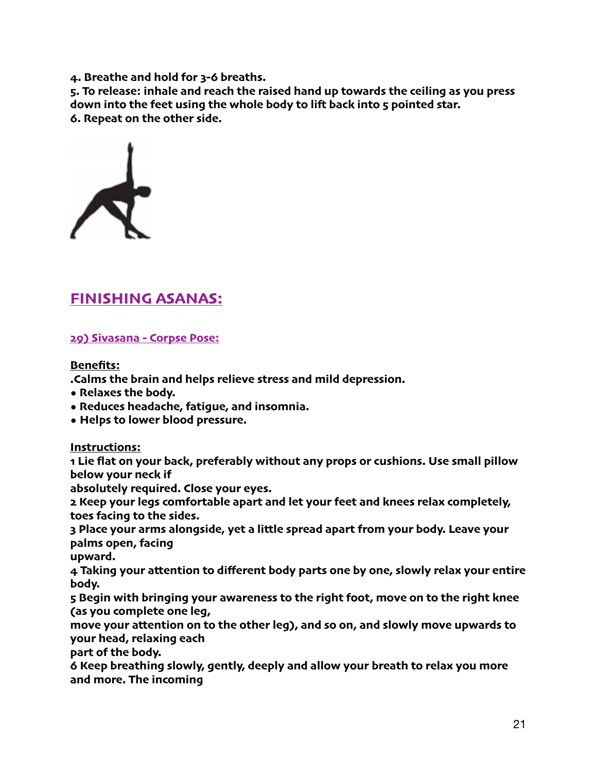**4. Breathe and hold for 3-6 breaths.**

**5. To release: inhale and reach the raised hand up towards the ceiling as you press down into the feet using the whole body to lif back into 5 pointed star. 6. Repeat on the other side.**



# **FINISHING ASANAS:**

#### **29) Sivasana - Corpse Pose:**

#### **Benefits:**

**.Calms the brain and helps relieve stress and mild depression.**

- **Relaxes the body.**
- **Reduces headache, fatigue, and insomnia.**
- **• Helps to lower blood pressure.**

#### **Instructions:**

**1 Lie flat on your back, preferably without any props or cushions. Use small pillow below your neck if**

**absolutely required. Close your eyes.**

**2 Keep your legs comfortable apart and let your feet and knees relax completely, toes facing to the sides.**

**3 Place your arms alongside, yet a little spread apart from your body. Leave your palms open, facing**

**upward.**

**4 Taking your attention to different body parts one by one, slowly relax your entire body.**

**5 Begin with bringing your awareness to the right foot, move on to the right knee (as you complete one leg,**

**move your attention on to the other leg), and so on, and slowly move upwards to your head, relaxing each**

**part of the body.**

**6 Keep breathing slowly, gently, deeply and allow your breath to relax you more and more. The incoming**